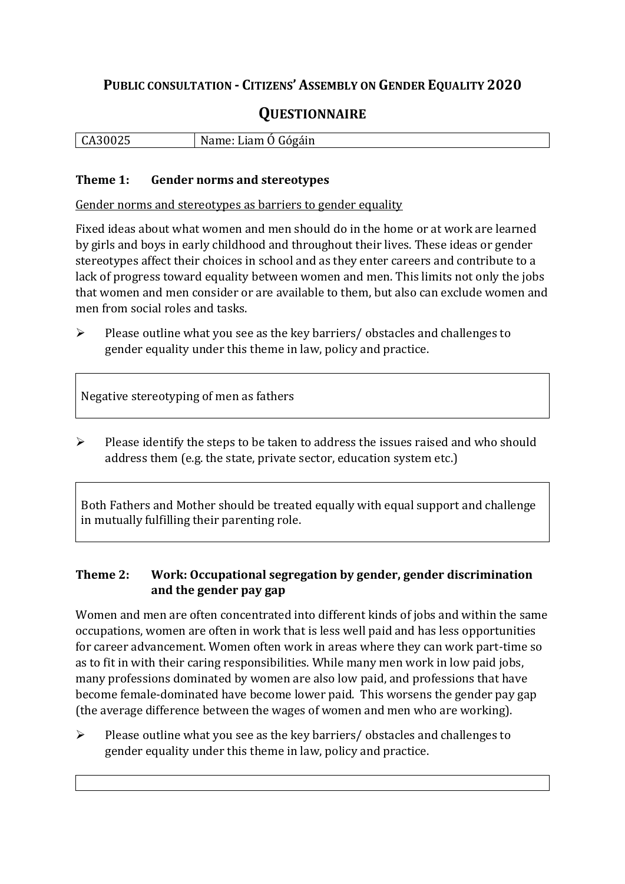## **PUBLIC CONSULTATION - CITIZENS' ASSEMBLY ON GENDER EQUALITY 2020**

# **QUESTIONNAIRE**

| .<br>∪A3U<br>. U 4.J | Gógáin<br>N<br>$\sim$ 100<br>า⊷<br>Lidill -<br>v |
|----------------------|--------------------------------------------------|
|                      |                                                  |

#### **Theme 1: Gender norms and stereotypes**

Gender norms and stereotypes as barriers to gender equality

Fixed ideas about what women and men should do in the home or at work are learned by girls and boys in early childhood and throughout their lives. These ideas or gender stereotypes affect their choices in school and as they enter careers and contribute to a lack of progress toward equality between women and men. This limits not only the jobs that women and men consider or are available to them, but also can exclude women and men from social roles and tasks.

➢ Please outline what you see as the key barriers/ obstacles and challenges to gender equality under this theme in law, policy and practice.

Negative stereotyping of men as fathers

➢ Please identify the steps to be taken to address the issues raised and who should address them (e.g. the state, private sector, education system etc.)

Both Fathers and Mother should be treated equally with equal support and challenge in mutually fulfilling their parenting role.

#### **Theme 2: Work: Occupational segregation by gender, gender discrimination and the gender pay gap**

Women and men are often concentrated into different kinds of jobs and within the same occupations, women are often in work that is less well paid and has less opportunities for career advancement. Women often work in areas where they can work part-time so as to fit in with their caring responsibilities. While many men work in low paid jobs, many professions dominated by women are also low paid, and professions that have become female-dominated have become lower paid. This worsens the gender pay gap (the average difference between the wages of women and men who are working).

➢ Please outline what you see as the key barriers/ obstacles and challenges to gender equality under this theme in law, policy and practice.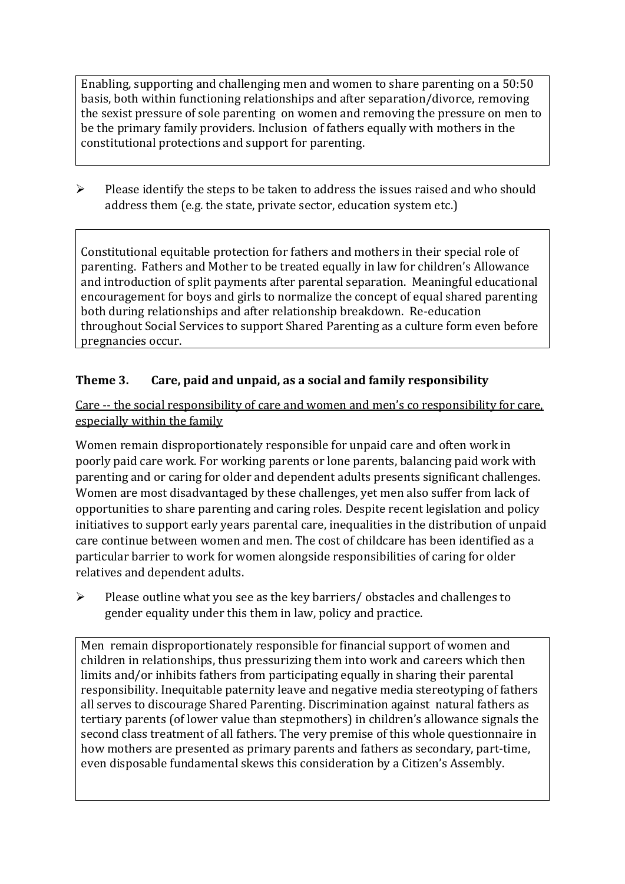Enabling, supporting and challenging men and women to share parenting on a 50:50 basis, both within functioning relationships and after separation/divorce, removing the sexist pressure of sole parenting on women and removing the pressure on men to be the primary family providers. Inclusion of fathers equally with mothers in the constitutional protections and support for parenting.

➢ Please identify the steps to be taken to address the issues raised and who should address them (e.g. the state, private sector, education system etc.)

Constitutional equitable protection for fathers and mothers in their special role of parenting. Fathers and Mother to be treated equally in law for children's Allowance and introduction of split payments after parental separation. Meaningful educational encouragement for boys and girls to normalize the concept of equal shared parenting both during relationships and after relationship breakdown. Re-education throughout Social Services to support Shared Parenting as a culture form even before pregnancies occur.

#### **Theme 3. Care, paid and unpaid, as a social and family responsibility**

Care -- the social responsibility of care and women and men's co responsibility for care, especially within the family

Women remain disproportionately responsible for unpaid care and often work in poorly paid care work. For working parents or [lone parents,](https://aran.library.nuigalway.ie/bitstream/handle/10379/6044/Millar_and_Crosse_Activation_Report.pdf?sequence=1&isAllowed=y) balancing paid work with parenting and or caring for older and dependent adults presents significant challenges. Women are [most disadvantaged by these challenges,](https://eige.europa.eu/gender-equality-index/game/IE/W) yet men also suffer from lack of opportunities to share parenting and caring roles. Despite recent legislation and policy initiatives to support early years parental care, [inequalities in the distribution of unpaid](https://www.ihrec.ie/app/uploads/2019/07/Caring-and-Unpaid-Work-in-Ireland_Final.pdf)  [care](https://www.ihrec.ie/app/uploads/2019/07/Caring-and-Unpaid-Work-in-Ireland_Final.pdf) continue between women and men. The cost of childcare has been identified as a particular barrier to work for women alongside responsibilities of caring for older relatives and dependent adults.

➢ Please outline what you see as the key barriers/ obstacles and challenges to gender equality under this them in law, policy and practice.

Men remain disproportionately responsible for financial support of women and children in relationships, thus pressurizing them into work and careers which then limits and/or inhibits fathers from participating equally in sharing their parental responsibility. Inequitable paternity leave and negative media stereotyping of fathers all serves to discourage Shared Parenting. Discrimination against natural fathers as tertiary parents (of lower value than stepmothers) in children's allowance signals the second class treatment of all fathers. The very premise of this whole questionnaire in how mothers are presented as primary parents and fathers as secondary, part-time, even disposable fundamental skews this consideration by a Citizen's Assembly.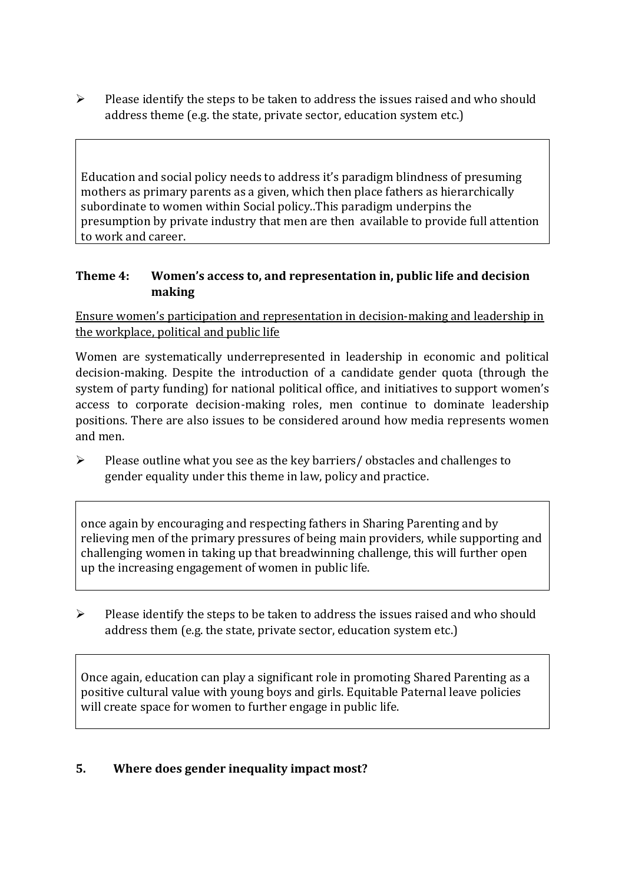➢ Please identify the steps to be taken to address the issues raised and who should address theme (e.g. the state, private sector, education system etc.)

Education and social policy needs to address it's paradigm blindness of presuming mothers as primary parents as a given, which then place fathers as hierarchically subordinate to women within Social policy..This paradigm underpins the presumption by private industry that men are then available to provide full attention to work and career.

#### **Theme 4: Women's access to, and representation in, public life and decision making**

Ensure women's participation and representation in decision-making and leadership in the workplace, political and public life

Women are systematically underrepresented in leadership in [economic](https://eige.europa.eu/gender-equality-index/2019/compare-countries/power/2/bar) and [political](https://eige.europa.eu/gender-equality-index/2019/compare-countries/power/1/bar)  [decision-](https://eige.europa.eu/gender-equality-index/2019/compare-countries/power/1/bar)making. Despite the introduction of a candidate gender quota (through the system of party funding) for national political office, and [initiatives](https://betterbalance.ie/) to support women's access to corporate decision-making roles, men continue to dominate leadership positions. There are also issues to be considered around how media represents women and men.

➢ Please outline what you see as the key barriers/ obstacles and challenges to gender equality under this theme in law, policy and practice.

once again by encouraging and respecting fathers in Sharing Parenting and by relieving men of the primary pressures of being main providers, while supporting and challenging women in taking up that breadwinning challenge, this will further open up the increasing engagement of women in public life.

➢ Please identify the steps to be taken to address the issues raised and who should address them (e.g. the state, private sector, education system etc.)

Once again, education can play a significant role in promoting Shared Parenting as a positive cultural value with young boys and girls. Equitable Paternal leave policies will create space for women to further engage in public life.

### **5. Where does gender inequality impact most?**